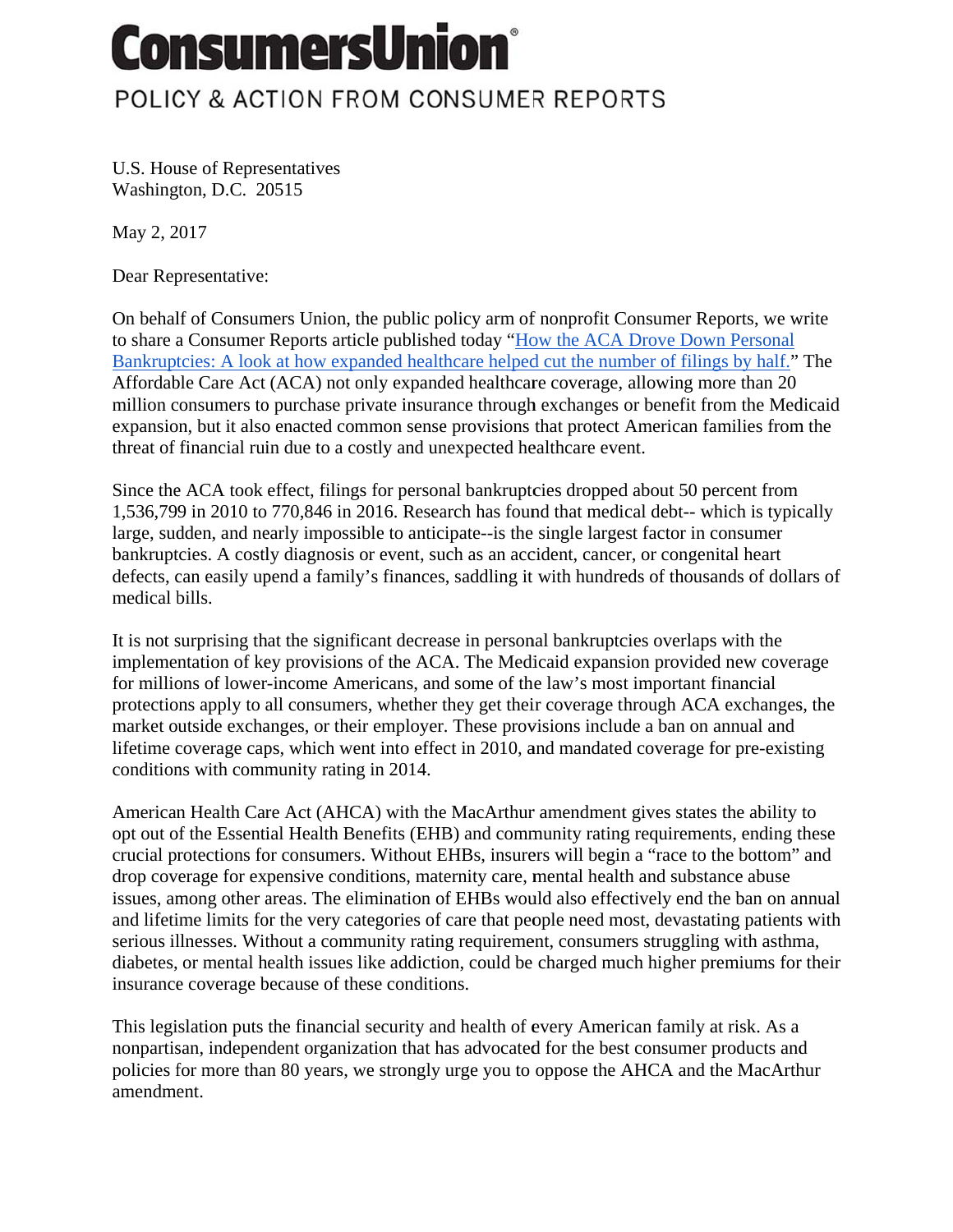## **ConsumersUnion®**

## POLICY & ACTION FROM CONSUMER REPORTS

U.S. House of Representatives Washington, D.C. 20515

May 2, 2017

Dear Representative:

On behalf of Consumers Union, the public policy arm of nonprofit Consumer Reports, we write to share a Consumer Reports article published today "How the ACA Drove Down Personal Bankruptcies: A look at how expanded healthcare helped cut the number of filings by half." The Affordable Care Act (ACA) not only expanded healthcare coverage, allowing more than 20 million consumers to purchase private insurance through exchanges or benefit from the Medicaid expansion, but it also enacted common sense provisions that protect American families from the threat of financial ruin due to a costly and unexpected healthcare event.

Since the ACA took effect, filings for personal bankruptcies dropped about 50 percent from 1,536,799 in 2010 to 770,846 in 2016. Research has found that medical debt-- which is typically large, sudden, and nearly impossible to anticipate--is the single largest factor in consumer bankruptcies. A costly diagnosis or event, such as an accident, cancer, or congenital heart defects, can easily upend a family's finances, saddling it with hundreds of thousands of dollars of medical bills.

It is not surprising that the significant decrease in personal bankruptcies overlaps with the implementation of key provisions of the ACA. The Medicaid expansion provided new coverage for millions of lower-income Americans, and some of the law's most important financial protections apply to all consumers, whether they get their coverage through ACA exchanges, the market outside exchanges, or their employer. These provisions include a ban on annual and lifetime coverage caps, which went into effect in 2010, and mandated coverage for pre-existing conditions with community rating in 2014.

American Health Care Act (AHCA) with the MacArthur amendment gives states the ability to opt out of the Essential Health Benefits (EHB) and community rating requirements, ending these crucial protections for consumers. Without EHBs, insurers will begin a "race to the bottom" and drop coverage for expensive conditions, maternity care, mental health and substance abuse issues, among other areas. The elimination of EHBs would also effectively end the ban on annual and lifetime limits for the very categories of care that people need most, devastating patients with serious illnesses. Without a community rating requirement, consumers struggling with asthma, diabetes, or mental health issues like addiction, could be charged much higher premiums for their insurance coverage because of these conditions.

This legislation puts the financial security and health of every American family at risk. As a nonpartisan, independent organization that has advocated for the best consumer products and policies for more than 80 years, we strongly urge you to oppose the AHCA and the MacArthur amendment.